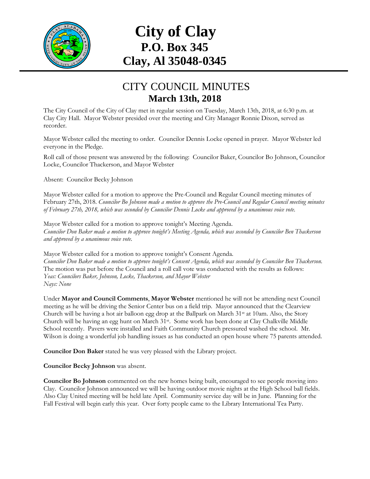

## **City of Clay P.O. Box 345 Clay, Al 35048-0345**

## CITY COUNCIL MINUTES **March 13th, 2018**

The City Council of the City of Clay met in regular session on Tuesday, March 13th, 2018, at 6:30 p.m. at Clay City Hall. Mayor Webster presided over the meeting and City Manager Ronnie Dixon, served as recorder.

Mayor Webster called the meeting to order. Councilor Dennis Locke opened in prayer. Mayor Webster led everyone in the Pledge.

Roll call of those present was answered by the following: Councilor Baker, Councilor Bo Johnson, Councilor Locke, Councilor Thackerson, and Mayor Webster

Absent: Councilor Becky Johnson

Mayor Webster called for a motion to approve the Pre-Council and Regular Council meeting minutes of February 27th, 2018. *Councilor Bo Johnson made a motion to approve the Pre-Council and Regular Council meeting minutes of February 27th, 2018, which was seconded by Councilor Dennis Locke and approved by a unanimous voice vote.*

Mayor Webster called for a motion to approve tonight's Meeting Agenda. *Councilor Don Baker made a motion to approve tonight's Meeting Agenda, which was seconded by Councilor Ben Thackerson and approved by a unanimous voice vote.*

Mayor Webster called for a motion to approve tonight's Consent Agenda. *Councilor Don Baker made a motion to approve tonight's Consent Agenda, which was seconded by Councilor Ben Thackerson.*  The motion was put before the Council and a roll call vote was conducted with the results as follows: *Yeas: Councilors Baker, Johnson, Locke, Thackerson, and Mayor Webster Nays: None*

Under **Mayor and Council Comments**, **Mayor Webster** mentioned he will not be attending next Council meeting as he will be driving the Senior Center bus on a field trip. Mayor announced that the Clearview Church will be having a hot air balloon egg drop at the Ballpark on March 31<sup>st</sup> at 10am. Also, the Story Church will be having an egg hunt on March 31st. Some work has been done at Clay Chalkville Middle School recently. Pavers were installed and Faith Community Church pressured washed the school. Mr. Wilson is doing a wonderful job handling issues as has conducted an open house where 75 parents attended.

**Councilor Don Baker** stated he was very pleased with the Library project.

**Councilor Becky Johnson** was absent.

**Councilor Bo Johnson** commented on the new homes being built, encouraged to see people moving into Clay. Councilor Johnson announced we will be having outdoor movie nights at the High School ball fields. Also Clay United meeting will be held late April. Community service day will be in June. Planning for the Fall Festival will begin early this year. Over forty people came to the Library International Tea Party.